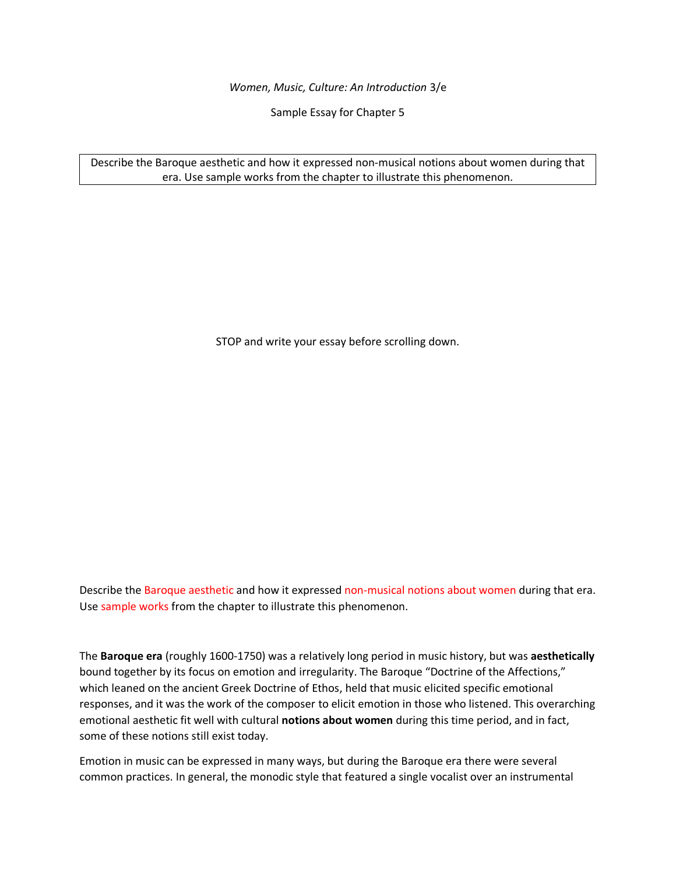*Women, Music, Culture: An Introduction* 3/e

Sample Essay for Chapter 5

Describe the Baroque aesthetic and how it expressed non-musical notions about women during that era. Use sample works from the chapter to illustrate this phenomenon.

STOP and write your essay before scrolling down.

Describe the Baroque aesthetic and how it expressed non-musical notions about women during that era. Use sample works from the chapter to illustrate this phenomenon.

The **Baroque era** (roughly 1600-1750) was a relatively long period in music history, but was **aesthetically**  bound together by its focus on emotion and irregularity. The Baroque "Doctrine of the Affections," which leaned on the ancient Greek Doctrine of Ethos, held that music elicited specific emotional responses, and it was the work of the composer to elicit emotion in those who listened. This overarching emotional aesthetic fit well with cultural **notions about women** during this time period, and in fact, some of these notions still exist today.

Emotion in music can be expressed in many ways, but during the Baroque era there were several common practices. In general, the monodic style that featured a single vocalist over an instrumental